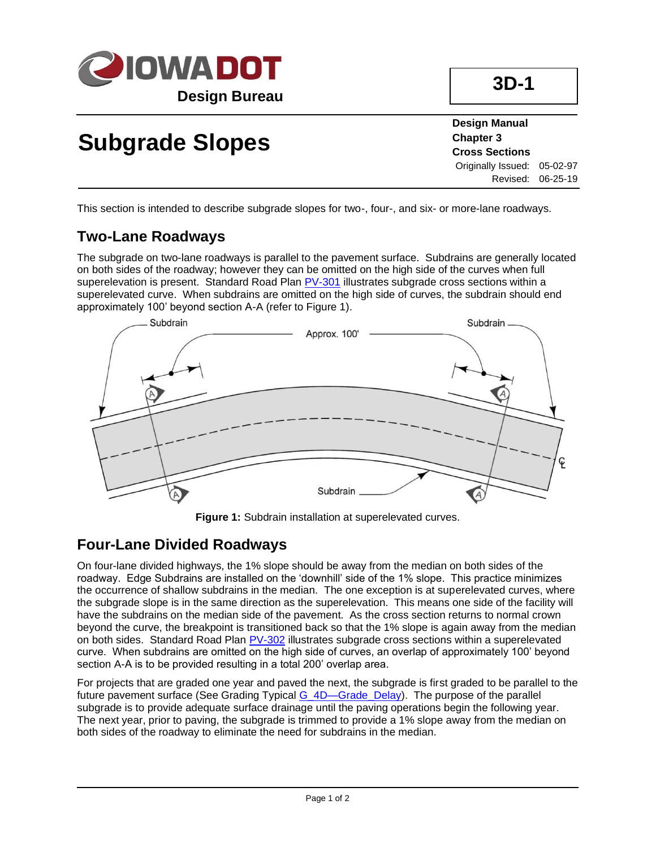

# **Subgrade Slopes**

**Design Manual Chapter 3 Cross Sections** Originally Issued: 05-02-97 Revised: 06-25-19

This section is intended to describe subgrade slopes for two-, four-, and six- or more-lane roadways.

### **Two-Lane Roadways**

The subgrade on two-lane roadways is parallel to the pavement surface. Subdrains are generally located on both sides of the roadway; however they can be omitted on the high side of the curves when full superelevation is present. Standard Road Plan [PV-301](../SRP/IndividualStandards/pv301.pdf) illustrates subgrade cross sections within a superelevated curve. When subdrains are omitted on the high side of curves, the subdrain should end approximately 100' beyond section A-A (refer to Figure 1).



**Figure 1:** Subdrain installation at superelevated curves.

#### **Four-Lane Divided Roadways**

On four-lane divided highways, the 1% slope should be away from the median on both sides of the roadway. Edge Subdrains are installed on the 'downhill' side of the 1% slope. This practice minimizes the occurrence of shallow subdrains in the median. The one exception is at superelevated curves, where the subgrade slope is in the same direction as the superelevation. This means one side of the facility will have the subdrains on the median side of the pavement. As the cross section returns to normal crown beyond the curve, the breakpoint is transitioned back so that the 1% slope is again away from the median on both sides. Standard Road Plan [PV-302](../SRP/IndividualStandards/pv302.pdf) illustrates subgrade cross sections within a superelevated curve. When subdrains are omitted on the high side of curves, an overlap of approximately 100' beyond section A-A is to be provided resulting in a total 200' overlap area.

For projects that are graded one year and paved the next, the subgrade is first graded to be parallel to the future pavement surface (See Grading Typical [G\\_4D—Grade\\_Delay\)](../tnt/PDFsandWebFiles/IndividualPDFs/G_4D_Grade_Delay.pdf). The purpose of the parallel subgrade is to provide adequate surface drainage until the paving operations begin the following year. The next year, prior to paving, the subgrade is trimmed to provide a 1% slope away from the median on both sides of the roadway to eliminate the need for subdrains in the median.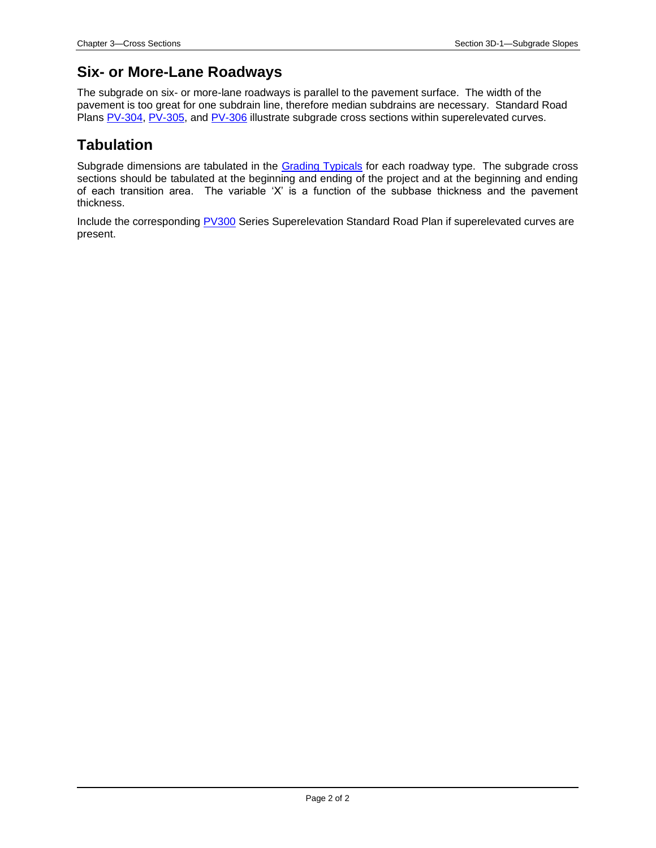#### **Six- or More-Lane Roadways**

The subgrade on six- or more-lane roadways is parallel to the pavement surface. The width of the pavement is too great for one subdrain line, therefore median subdrains are necessary. Standard Road Plans [PV-304,](../SRP/IndividualStandards/pv304.pdf) [PV-305,](../SRP/IndividualStandards/pv305.pdf) and [PV-306](../SRP/IndividualStandards/pv306.pdf) illustrate subgrade cross sections within superelevated curves.

#### **Tabulation**

Subgrade dimensions are tabulated in the [Grading Typicals](../GradingTypicals) for each roadway type. The subgrade cross sections should be tabulated at the beginning and ending of the project and at the beginning and ending of each transition area. The variable 'X' is a function of the subbase thickness and the pavement thickness.

Include the corresponding [PV300](../stdplne_pv) Series Superelevation Standard Road Plan if superelevated curves are present.